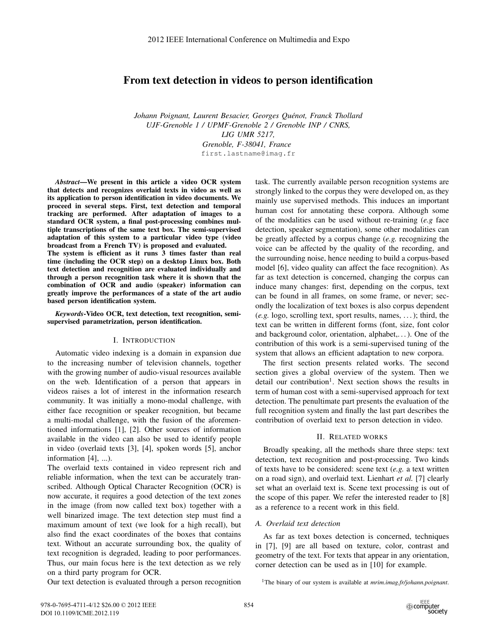# From text detection in videos to person identification

*Johann Poignant, Laurent Besacier, Georges Quenot, Franck Thollard ´ UJF-Grenoble 1 / UPMF-Grenoble 2 / Grenoble INP / CNRS, LIG UMR 5217, Grenoble, F-38041, France* first.lastname@imag.fr

*Abstract*—We present in this article a video OCR system that detects and recognizes overlaid texts in video as well as its application to person identification in video documents. We proceed in several steps. First, text detection and temporal tracking are performed. After adaptation of images to a standard OCR system, a final post-processing combines multiple transcriptions of the same text box. The semi-supervised adaptation of this system to a particular video type (video broadcast from a French TV) is proposed and evaluated. The system is efficient as it runs 3 times faster than real time (including the OCR step) on a desktop Linux box. Both text detection and recognition are evaluated individually and through a person recognition task where it is shown that the combination of OCR and audio (speaker) information can greatly improve the performances of a state of the art audio based person identification system.

*Keywords*-Video OCR, text detection, text recognition, semisupervised parametrization, person identification.

### I. INTRODUCTION

Automatic video indexing is a domain in expansion due to the increasing number of television channels, together with the growing number of audio-visual resources available on the web. Identification of a person that appears in videos raises a lot of interest in the information research community. It was initially a mono-modal challenge, with either face recognition or speaker recognition, but became a multi-modal challenge, with the fusion of the aforementioned informations [1], [2]. Other sources of information available in the video can also be used to identify people in video (overlaid texts [3], [4], spoken words [5], anchor information [4], ...).

The overlaid texts contained in video represent rich and reliable information, when the text can be accurately transcribed. Although Optical Character Recognition (OCR) is now accurate, it requires a good detection of the text zones in the image (from now called text box) together with a well binarized image. The text detection step must find a maximum amount of text (we look for a high recall), but also find the exact coordinates of the boxes that contains text. Without an accurate surrounding box, the quality of text recognition is degraded, leading to poor performances. Thus, our main focus here is the text detection as we rely on a third party program for OCR.

Our text detection is evaluated through a person recognition

task. The currently available person recognition systems are strongly linked to the corpus they were developed on, as they mainly use supervised methods. This induces an important human cost for annotating these corpora. Although some of the modalities can be used without re-training (*e.g* face detection, speaker segmentation), some other modalities can be greatly affected by a corpus change (*e.g.* recognizing the voice can be affected by the quality of the recording, and the surrounding noise, hence needing to build a corpus-based model [6], video quality can affect the face recognition). As far as text detection is concerned, changing the corpus can induce many changes: first, depending on the corpus, text can be found in all frames, on some frame, or never; secondly the localization of text boxes is also corpus dependent (*e.g.* logo, scrolling text, sport results, names, . . . ); third, the text can be written in different forms (font, size, font color and background color, orientation, alphabet,. . . ). One of the contribution of this work is a semi-supervised tuning of the system that allows an efficient adaptation to new corpora.

The first section presents related works. The second section gives a global overview of the system. Then we detail our contribution<sup>1</sup>. Next section shows the results in term of human cost with a semi-supervised approach for text detection. The penultimate part presents the evaluation of the full recognition system and finally the last part describes the contribution of overlaid text to person detection in video.

# II. RELATED WORKS

Broadly speaking, all the methods share three steps: text detection, text recognition and post-processing. Two kinds of texts have to be considered: scene text (*e.g.* a text written on a road sign), and overlaid text. Lienhart *et al.* [7] clearly set what an overlaid text is. Scene text processing is out of the scope of this paper. We refer the interested reader to [8] as a reference to a recent work in this field.

### *A. Overlaid text detection*

As far as text boxes detection is concerned, techniques in [7], [9] are all based on texture, color, contrast and geometry of the text. For texts that appear in any orientation, corner detection can be used as in [10] for example.

1The binary of our system is available at *mrim.imag.fr/johann.poignant*.

<sup>978-0-7695-4711-4/12 \$26.00 © 2012</sup> IEEE DOI 10.1109/ICME.2012.119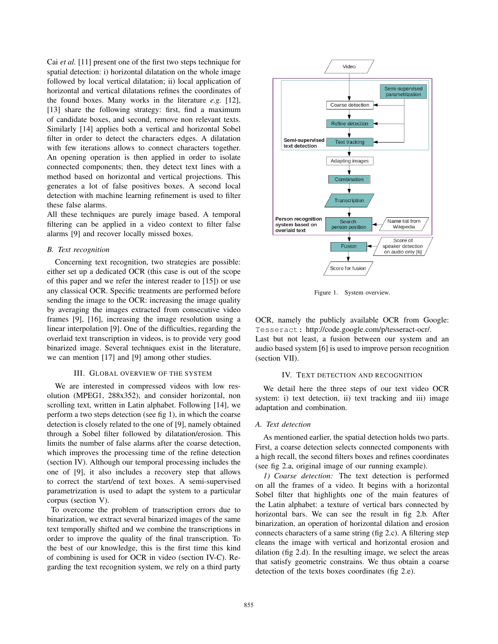Cai *et al.* [11] present one of the first two steps technique for spatial detection: i) horizontal dilatation on the whole image followed by local vertical dilatation; ii) local application of horizontal and vertical dilatations refines the coordinates of the found boxes. Many works in the literature *e.g.* [12], [13] share the following strategy: first, find a maximum of candidate boxes, and second, remove non relevant texts. Similarly [14] applies both a vertical and horizontal Sobel filter in order to detect the characters edges. A dilatation with few iterations allows to connect characters together. An opening operation is then applied in order to isolate connected components; then, they detect text lines with a method based on horizontal and vertical projections. This generates a lot of false positives boxes. A second local detection with machine learning refinement is used to filter these false alarms.

All these techniques are purely image based. A temporal filtering can be applied in a video context to filter false alarms [9] and recover locally missed boxes.

## *B. Text recognition*

Concerning text recognition, two strategies are possible: either set up a dedicated OCR (this case is out of the scope of this paper and we refer the interest reader to [15]) or use any classical OCR. Specific treatments are performed before sending the image to the OCR: increasing the image quality by averaging the images extracted from consecutive video frames [9], [16], increasing the image resolution using a linear interpolation [9]. One of the difficulties, regarding the overlaid text transcription in videos, is to provide very good binarized image. Several techniques exist in the literature, we can mention [17] and [9] among other studies.

#### III. GLOBAL OVERVIEW OF THE SYSTEM

We are interested in compressed videos with low resolution (MPEG1, 288x352), and consider horizontal, non scrolling text, written in Latin alphabet. Following [14], we perform a two steps detection (see fig 1), in which the coarse detection is closely related to the one of [9], namely obtained through a Sobel filter followed by dilatation/erosion. This limits the number of false alarms after the coarse detection, which improves the processing time of the refine detection (section IV). Although our temporal processing includes the one of [9], it also includes a recovery step that allows to correct the start/end of text boxes. A semi-supervised parametrization is used to adapt the system to a particular corpus (section V).

To overcome the problem of transcription errors due to binarization, we extract several binarized images of the same text temporally shifted and we combine the transcriptions in order to improve the quality of the final transcription. To the best of our knowledge, this is the first time this kind of combining is used for OCR in video (section IV-C). Regarding the text recognition system, we rely on a third party



Figure 1. System overview.

OCR, namely the publicly available OCR from Google: Tesseract: http://code.google.com/p/tesseract-ocr/.

Last but not least, a fusion between our system and an audio based system [6] is used to improve person recognition (section VII).

### IV. TEXT DETECTION AND RECOGNITION

We detail here the three steps of our text video OCR system: i) text detection, ii) text tracking and iii) image adaptation and combination.

## *A. Text detection*

As mentioned earlier, the spatial detection holds two parts. First, a coarse detection selects connected components with a high recall, the second filters boxes and refines coordinates (see fig 2.a, original image of our running example).

*1) Coarse detection:* The text detection is performed on all the frames of a video. It begins with a horizontal Sobel filter that highlights one of the main features of the Latin alphabet: a texture of vertical bars connected by horizontal bars. We can see the result in fig 2.b. After binarization, an operation of horizontal dilation and erosion connects characters of a same string (fig 2.c). A filtering step cleans the image with vertical and horizontal erosion and dilation (fig 2.d). In the resulting image, we select the areas that satisfy geometric constrains. We thus obtain a coarse detection of the texts boxes coordinates (fig 2.e).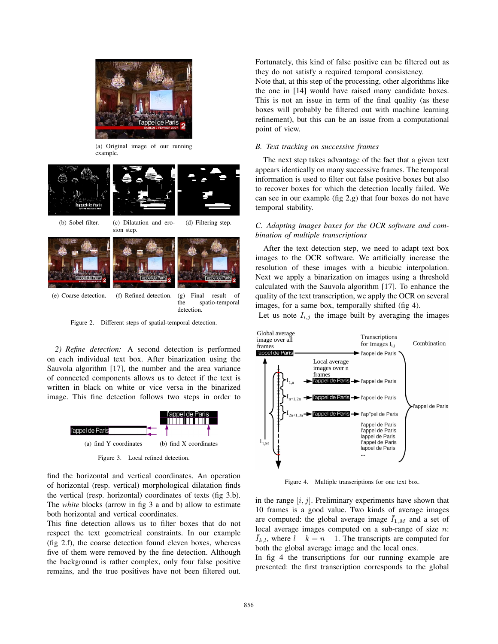

(a) Original image of our running example.



sion step.







(e) Coarse detection. (f) Refined detection. (g) Final result of the spatio-temporal detection.

Figure 2. Different steps of spatial-temporal detection.

*2) Refine detection:* A second detection is performed on each individual text box. After binarization using the Sauvola algorithm [17], the number and the area variance of connected components allows us to detect if the text is written in black on white or vice versa in the binarized image. This fine detection follows two steps in order to



Figure 3. Local refined detection.

find the horizontal and vertical coordinates. An operation of horizontal (resp. vertical) morphological dilatation finds the vertical (resp. horizontal) coordinates of texts (fig 3.b). The *white* blocks (arrow in fig 3 a and b) allow to estimate both horizontal and vertical coordinates.

This fine detection allows us to filter boxes that do not respect the text geometrical constraints. In our example (fig 2.f), the coarse detection found eleven boxes, whereas five of them were removed by the fine detection. Although the background is rather complex, only four false positive remains, and the true positives have not been filtered out.

Fortunately, this kind of false positive can be filtered out as they do not satisfy a required temporal consistency.

Note that, at this step of the processing, other algorithms like the one in [14] would have raised many candidate boxes. This is not an issue in term of the final quality (as these boxes will probably be filtered out with machine learning refinement), but this can be an issue from a computational point of view.

# *B. Text tracking on successive frames*

The next step takes advantage of the fact that a given text appears identically on many successive frames. The temporal information is used to filter out false positive boxes but also to recover boxes for which the detection locally failed. We can see in our example (fig 2.g) that four boxes do not have temporal stability.

# *C. Adapting images boxes for the OCR software and combination of multiple transcriptions*

After the text detection step, we need to adapt text box images to the OCR software. We artificially increase the resolution of these images with a bicubic interpolation. Next we apply a binarization on images using a threshold calculated with the Sauvola algorithm [17]. To enhance the quality of the text transcription, we apply the OCR on several images, for a same box, temporally shifted (fig 4).

Let us note  $I_{i,j}$  the image built by averaging the images



Figure 4. Multiple transcriptions for one text box.

in the range  $[i, j]$ . Preliminary experiments have shown that 10 frames is a good value. Two kinds of average images are computed: the global average image  $\bar{I}_{1,M}$  and a set of local average images computed on a sub-range of size *n*:  $\overline{I}_{k,l}$ , where  $l - k = n - 1$ . The transcripts are computed for both the global average image and the local ones.

In fig 4 the transcriptions for our running example are presented: the first transcription corresponds to the global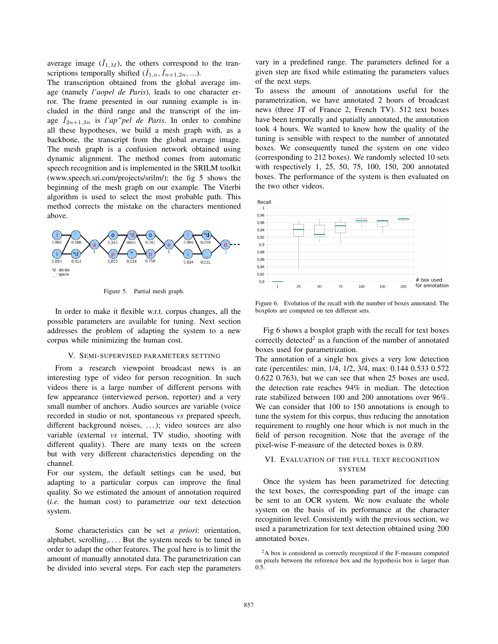average image  $(\bar{I}_{1,M})$ , the others correspond to the transcriptions temporally shifted  $(\bar{I}_{1,n}, \bar{I}_{n+1,2n}, \ldots)$ .

The transcription obtained from the global average image (namely *l'aopel de Paris*), leads to one character error. The frame presented in our running example is included in the third range and the transcript of the image  $\bar{I}_{2n+1,3n}$  is *l'ap" pel de Paris*. In order to combine all these hypotheses, we build a mesh graph with, as a backbone, the transcript from the global average image. The mesh graph is a confusion network obtained using dynamic alignment. The method comes from automatic speech recognition and is implemented in the SRILM toolkit (www.speech.sri.com/projects/srilm/); the fig 5 shows the beginning of the mesh graph on our example. The Viterbi algorithm is used to select the most probable path. This method corrects the mistake on the characters mentioned above.



Figure 5. Partial mesh graph.

In order to make it flexible w.r.t. corpus changes, all the possible parameters are available for tuning. Next section addresses the problem of adapting the system to a new corpus while minimizing the human cost.

#### V. SEMI-SUPERVISED PARAMETERS SETTING

From a research viewpoint broadcast news is an interesting type of video for person recognition. In such videos there is a large number of different persons with few appearance (interviewed person, reporter) and a very small number of anchors. Audio sources are variable (voice recorded in studio or not, spontaneous *vs* prepared speech, different background noises, ...); video sources are also variable (external *vs* internal, TV studio, shooting with different quality). There are many texts on the screen but with very different characteristics depending on the channel.

For our system, the default settings can be used, but adapting to a particular corpus can improve the final quality. So we estimated the amount of annotation required (*i.e.* the human cost) to parametrize our text detection system.

Some characteristics can be set *a priori*: orientation, alphabet, scrolling,. . . . But the system needs to be tuned in order to adapt the other features. The goal here is to limit the amount of manually annotated data. The parametrization can be divided into several steps. For each step the parameters vary in a predefined range. The parameters defined for a given step are fixed while estimating the parameters values of the next steps.

To assess the amount of annotations useful for the parametrization, we have annotated 2 hours of broadcast news (three JT of France 2, French TV). 512 text boxes have been temporally and spatially annotated, the annotation took 4 hours. We wanted to know how the quality of the tuning is sensible with respect to the number of annotated boxes. We consequently tuned the system on one video (corresponding to 212 boxes). We randomly selected 10 sets with respectively 1, 25, 50, 75, 100, 150, 200 annotated boxes. The performance of the system is then evaluated on the two other videos.



Figure 6. Evolution of the recall with the number of boxes annotated. The boxplots are computed on ten different sets.

Fig 6 shows a boxplot graph with the recall for text boxes correctly detected<sup>2</sup> as a function of the number of annotated boxes used for parametrization.

The annotation of a single box gives a very low detection rate (percentiles: min, 1/4, 1/2, 3/4, max: 0.144 0.533 0.572 0.622 0.763), but we can see that when 25 boxes are used, the detection rate reaches 94% in median. The detection rate stabilized between 100 and 200 annotations over 96%. We can consider that 100 to 150 annotations is enough to tune the system for this corpus, thus reducing the annotation requirement to roughly one hour which is not much in the field of person recognition. Note that the average of the pixel-wise F-measure of the detected boxes is 0.89.

# VI. EVALUATION OF THE FULL TEXT RECOGNITION SYSTEM

Once the system has been parametrized for detecting the text boxes, the corresponding part of the image can be sent to an OCR system. We now evaluate the whole system on the basis of its performance at the character recognition level. Consistently with the previous section, we used a parametrization for text detection obtained using 200 annotated boxes.

<sup>2</sup>A box is considered as correctly recognized if the F-measure computed on pixels between the reference box and the hypothesis box is larger than 0.5.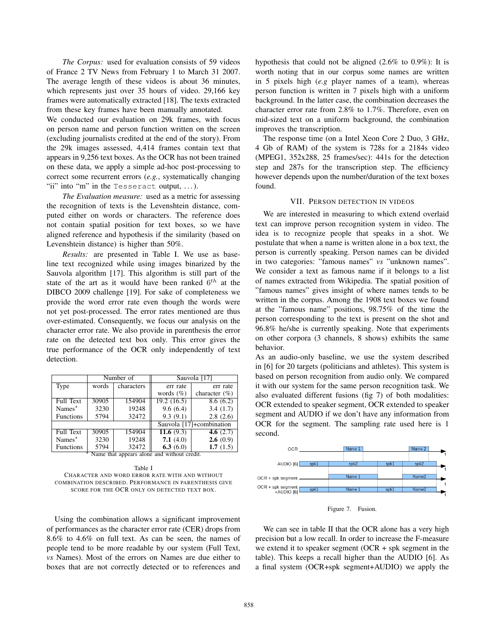*The Corpus:* used for evaluation consists of 59 videos of France 2 TV News from February 1 to March 31 2007. The average length of these videos is about 36 minutes, which represents just over 35 hours of video. 29,166 key frames were automatically extracted [18]. The texts extracted from these key frames have been manually annotated.

We conducted our evaluation on 29k frames, with focus on person name and person function written on the screen (excluding journalists credited at the end of the story). From the 29k images assessed, 4,414 frames contain text that appears in 9,256 text boxes. As the OCR has not been trained on these data, we apply a simple ad-hoc post-processing to correct some recurrent errors (*e.g.*, systematically changing "ii" into "m" in the Tesseract output,  $\dots$ ).

*The Evaluation measure:* used as a metric for assessing the recognition of texts is the Levenshtein distance, computed either on words or characters. The reference does not contain spatial position for text boxes, so we have aligned reference and hypothesis if the similarity (based on Levenshtein distance) is higher than 50%.

*Results:* are presented in Table I. We use as baseline text recognized while using images binarized by the Sauvola algorithm [17]. This algorithm is still part of the state of the art as it would have been ranked  $6^{th}$  at the DIBCO 2009 challenge [19]. For sake of completeness we provide the word error rate even though the words were not yet post-processed. The error rates mentioned are thus over-estimated. Consequently, we focus our analysis on the character error rate. We also provide in parenthesis the error rate on the detected text box only. This error gives the true performance of the OCR only independently of text detection.

|                                             | Number of |            | Sauvola [17]  |                          |  |  |
|---------------------------------------------|-----------|------------|---------------|--------------------------|--|--|
| Type                                        | words     | characters | err rate      | err rate                 |  |  |
|                                             |           |            | words $(\% )$ | character $(\% )$        |  |  |
| <b>Full Text</b>                            | 30905     | 154904     | 19.2(16.5)    | 8.6(6.2)                 |  |  |
| Names $*$                                   | 3230      | 19248      | 9.6(6.4)      | 3.4(1.7)                 |  |  |
| <b>Functions</b>                            | 5794      | 32472      | 9.3(9.1)      | 2.8(2.6)                 |  |  |
|                                             |           |            |               | Sauvola [17]+combination |  |  |
| <b>Full Text</b>                            | 30905     | 154904     | 11.6 $(9.3)$  | 4.6 $(2.7)$              |  |  |
| Names $*$                                   | 3230      | 19248      | 7.1(4.0)      | 2.6(0.9)                 |  |  |
| Functions                                   | 5794      | 32472      | 6.3 $(6.0)$   | 1.7(1.5)                 |  |  |
| Name that appears alone and without credit. |           |            |               |                          |  |  |

Table I CHARACTER AND WORD ERROR RATE WITH AND WITHOUT COMBINATION DESCRIBED. PERFORMANCE IN PARENTHESIS GIVE SCORE FOR THE OCR ONLY ON DETECTED TEXT BOX.

Using the combination allows a significant improvement of performances as the character error rate (CER) drops from 8.6% to 4.6% on full text. As can be seen, the names of people tend to be more readable by our system (Full Text, *vs* Names). Most of the errors on Names are due either to boxes that are not correctly detected or to references and

hypothesis that could not be aligned (2.6% to 0.9%): It is worth noting that in our corpus some names are written in 5 pixels high (*e.g* player names of a team), whereas person function is written in 7 pixels high with a uniform background. In the latter case, the combination decreases the character error rate from 2.8% to 1.7%. Therefore, even on mid-sized text on a uniform background, the combination improves the transcription.

The response time (on a Intel Xeon Core 2 Duo, 3 GHz, 4 Gb of RAM) of the system is 728s for a 2184s video (MPEG1, 352x288, 25 frames/sec): 441s for the detection step and 287s for the transcription step. The efficiency however depends upon the number/duration of the text boxes found.

### VII. PERSON DETECTION IN VIDEOS

We are interested in measuring to which extend overlaid text can improve person recognition system in video. The idea is to recognize people that speaks in a shot. We postulate that when a name is written alone in a box text, the person is currently speaking. Person names can be divided in two categories: "famous names" *vs* "unknown names". We consider a text as famous name if it belongs to a list of names extracted from Wikipedia. The spatial position of "famous names" gives insight of where names tends to be written in the corpus. Among the 1908 text boxes we found at the "famous name" positions, 98.75% of the time the person corresponding to the text is present on the shot and 96.8% he/she is currently speaking. Note that experiments on other corpora (3 channels, 8 shows) exhibits the same behavior.

As an audio-only baseline, we use the system described in [6] for 20 targets (politicians and athletes). This system is based on person recognition from audio only. We compared it with our system for the same person recognition task. We also evaluated different fusions (fig 7) of both modalities: OCR extended to speaker segment, OCR extended to speaker segment and AUDIO if we don't have any information from OCR for the segment. The sampling rate used here is 1 second.



Figure 7. Fusion.

We can see in table II that the OCR alone has a very high precision but a low recall. In order to increase the F-measure we extend it to speaker segment (OCR + spk segment in the table). This keeps a recall higher than the AUDIO [6]. As a final system (OCR+spk segment+AUDIO) we apply the